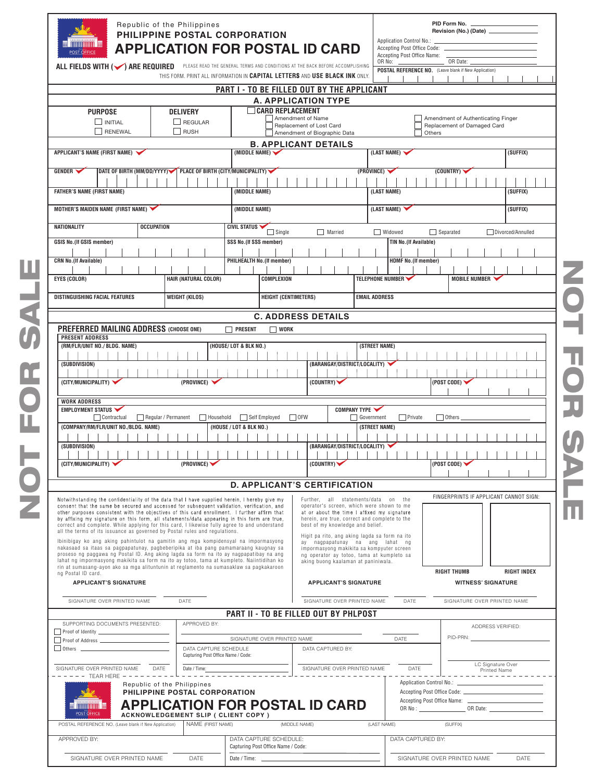| $\overline{\mathfrak{m}}$ muunuu $\overline{\mathfrak{m}}$<br><b>POST OFFICE</b>                                                                                                                                                                                                                                                                                                                                                                                                                                                                                                                                                                                                                                                                                                                                                                                                                                                                                                                                                                                                                                                                                                                                               | Republic of the Philippines<br>PHILIPPINE POSTAL CORPORATION<br><b>APPLICATION FOR POSTAL ID CARD</b> |                                                                                                             |                                                                                                                                                                                                                                                                                                                                                                                                                                                                                                                                                          |                                                  |                                                                                       | PID Form No.<br>Revision (No.) (Date) _<br>Application Control No.: _<br>Accepting Post Office Code:<br>Accepting Post Office Name: |  |  |
|--------------------------------------------------------------------------------------------------------------------------------------------------------------------------------------------------------------------------------------------------------------------------------------------------------------------------------------------------------------------------------------------------------------------------------------------------------------------------------------------------------------------------------------------------------------------------------------------------------------------------------------------------------------------------------------------------------------------------------------------------------------------------------------------------------------------------------------------------------------------------------------------------------------------------------------------------------------------------------------------------------------------------------------------------------------------------------------------------------------------------------------------------------------------------------------------------------------------------------|-------------------------------------------------------------------------------------------------------|-------------------------------------------------------------------------------------------------------------|----------------------------------------------------------------------------------------------------------------------------------------------------------------------------------------------------------------------------------------------------------------------------------------------------------------------------------------------------------------------------------------------------------------------------------------------------------------------------------------------------------------------------------------------------------|--------------------------------------------------|---------------------------------------------------------------------------------------|-------------------------------------------------------------------------------------------------------------------------------------|--|--|
| ALL FIELDS WITH (V) ARE REQUIRED PLEASE READ THE GENERAL TERMS AND CONDITIONS AT THE BACK BEFORE ACCOMPLISHING                                                                                                                                                                                                                                                                                                                                                                                                                                                                                                                                                                                                                                                                                                                                                                                                                                                                                                                                                                                                                                                                                                                 | OR No:                                                                                                | OR Date:<br>POSTAL REFERENCE NO. (Leave blank if New Application)                                           |                                                                                                                                                                                                                                                                                                                                                                                                                                                                                                                                                          |                                                  |                                                                                       |                                                                                                                                     |  |  |
|                                                                                                                                                                                                                                                                                                                                                                                                                                                                                                                                                                                                                                                                                                                                                                                                                                                                                                                                                                                                                                                                                                                                                                                                                                |                                                                                                       | THIS FORM. PRINT ALL INFORMATION IN CAPITAL LETTERS AND USE BLACK INK ONLY.                                 |                                                                                                                                                                                                                                                                                                                                                                                                                                                                                                                                                          |                                                  |                                                                                       |                                                                                                                                     |  |  |
|                                                                                                                                                                                                                                                                                                                                                                                                                                                                                                                                                                                                                                                                                                                                                                                                                                                                                                                                                                                                                                                                                                                                                                                                                                |                                                                                                       | PART I - TO BE FILLED OUT BY THE APPLICANT                                                                  | <b>A. APPLICATION TYPE</b>                                                                                                                                                                                                                                                                                                                                                                                                                                                                                                                               |                                                  |                                                                                       |                                                                                                                                     |  |  |
| <b>PURPOSE</b>                                                                                                                                                                                                                                                                                                                                                                                                                                                                                                                                                                                                                                                                                                                                                                                                                                                                                                                                                                                                                                                                                                                                                                                                                 | <b>DELIVERY</b>                                                                                       | <b>CARD REPLACEMENT</b>                                                                                     |                                                                                                                                                                                                                                                                                                                                                                                                                                                                                                                                                          |                                                  |                                                                                       |                                                                                                                                     |  |  |
| INITIAL                                                                                                                                                                                                                                                                                                                                                                                                                                                                                                                                                                                                                                                                                                                                                                                                                                                                                                                                                                                                                                                                                                                                                                                                                        | Amendment of Name<br>REGULAR<br>Replacement of Lost Card                                              |                                                                                                             |                                                                                                                                                                                                                                                                                                                                                                                                                                                                                                                                                          |                                                  |                                                                                       | Amendment of Authenticating Finger<br>Replacement of Damaged Card                                                                   |  |  |
| RENEWAL                                                                                                                                                                                                                                                                                                                                                                                                                                                                                                                                                                                                                                                                                                                                                                                                                                                                                                                                                                                                                                                                                                                                                                                                                        | RUSH                                                                                                  |                                                                                                             | Amendment of Biographic Data<br><b>B. APPLICANT DETAILS</b>                                                                                                                                                                                                                                                                                                                                                                                                                                                                                              | Others                                           |                                                                                       |                                                                                                                                     |  |  |
| APPLICANT'S NAME (FIRST NAME)                                                                                                                                                                                                                                                                                                                                                                                                                                                                                                                                                                                                                                                                                                                                                                                                                                                                                                                                                                                                                                                                                                                                                                                                  |                                                                                                       | (MIDDLE NAME)                                                                                               |                                                                                                                                                                                                                                                                                                                                                                                                                                                                                                                                                          | (LAST NAME)                                      |                                                                                       | (SUFFIX)                                                                                                                            |  |  |
| <b>GENDER</b>                                                                                                                                                                                                                                                                                                                                                                                                                                                                                                                                                                                                                                                                                                                                                                                                                                                                                                                                                                                                                                                                                                                                                                                                                  | DATE OF BIRTH (MM/DD/YYYY) PLACE OF BIRTH (CITY/MUNICIPALITY)                                         |                                                                                                             |                                                                                                                                                                                                                                                                                                                                                                                                                                                                                                                                                          | (PROVINCE)                                       | (COUNTRY)                                                                             |                                                                                                                                     |  |  |
|                                                                                                                                                                                                                                                                                                                                                                                                                                                                                                                                                                                                                                                                                                                                                                                                                                                                                                                                                                                                                                                                                                                                                                                                                                |                                                                                                       |                                                                                                             |                                                                                                                                                                                                                                                                                                                                                                                                                                                                                                                                                          |                                                  |                                                                                       |                                                                                                                                     |  |  |
| <b>FATHER'S NAME (FIRST NAME)</b>                                                                                                                                                                                                                                                                                                                                                                                                                                                                                                                                                                                                                                                                                                                                                                                                                                                                                                                                                                                                                                                                                                                                                                                              |                                                                                                       | (MIDDLE NAME)                                                                                               |                                                                                                                                                                                                                                                                                                                                                                                                                                                                                                                                                          | (LAST NAME)                                      |                                                                                       | (SUFFIX)                                                                                                                            |  |  |
| MOTHER'S MAIDEN NAME (FIRST NAME)                                                                                                                                                                                                                                                                                                                                                                                                                                                                                                                                                                                                                                                                                                                                                                                                                                                                                                                                                                                                                                                                                                                                                                                              |                                                                                                       | (MIDDLE NAME)                                                                                               |                                                                                                                                                                                                                                                                                                                                                                                                                                                                                                                                                          | (LAST NAME)                                      |                                                                                       | (SUFFIX)                                                                                                                            |  |  |
| NATIONALITY                                                                                                                                                                                                                                                                                                                                                                                                                                                                                                                                                                                                                                                                                                                                                                                                                                                                                                                                                                                                                                                                                                                                                                                                                    | <b>OCCUPATION</b>                                                                                     | CIVIL STATUS<br>$\Box$ Single                                                                               | $\Box$ Married                                                                                                                                                                                                                                                                                                                                                                                                                                                                                                                                           | Widowed                                          | $\Box$ Separated                                                                      | Divorced/Annulled                                                                                                                   |  |  |
| GSIS No.(If GSIS member)                                                                                                                                                                                                                                                                                                                                                                                                                                                                                                                                                                                                                                                                                                                                                                                                                                                                                                                                                                                                                                                                                                                                                                                                       |                                                                                                       | SSS No.(If SSS member)                                                                                      |                                                                                                                                                                                                                                                                                                                                                                                                                                                                                                                                                          | <b>TIN No.(If Available)</b>                     |                                                                                       |                                                                                                                                     |  |  |
| <b>CRN No.(If Available)</b>                                                                                                                                                                                                                                                                                                                                                                                                                                                                                                                                                                                                                                                                                                                                                                                                                                                                                                                                                                                                                                                                                                                                                                                                   |                                                                                                       | <b>PHILHEALTH No.(If member)</b>                                                                            |                                                                                                                                                                                                                                                                                                                                                                                                                                                                                                                                                          | <b>HDMF No.(If member)</b>                       |                                                                                       |                                                                                                                                     |  |  |
|                                                                                                                                                                                                                                                                                                                                                                                                                                                                                                                                                                                                                                                                                                                                                                                                                                                                                                                                                                                                                                                                                                                                                                                                                                |                                                                                                       |                                                                                                             |                                                                                                                                                                                                                                                                                                                                                                                                                                                                                                                                                          |                                                  |                                                                                       |                                                                                                                                     |  |  |
| EYES (COLOR)                                                                                                                                                                                                                                                                                                                                                                                                                                                                                                                                                                                                                                                                                                                                                                                                                                                                                                                                                                                                                                                                                                                                                                                                                   | HAIR (NATURAL COLOR)                                                                                  | <b>COMPLEXION</b>                                                                                           |                                                                                                                                                                                                                                                                                                                                                                                                                                                                                                                                                          | TELEPHONE NUMBER                                 | <b>MOBILE NUMBER</b>                                                                  |                                                                                                                                     |  |  |
| DISTINGUISHING FACIAL FEATURES                                                                                                                                                                                                                                                                                                                                                                                                                                                                                                                                                                                                                                                                                                                                                                                                                                                                                                                                                                                                                                                                                                                                                                                                 | <b>WEIGHT (KILOS)</b>                                                                                 | <b>HEIGHT (CENTIMETERS)</b>                                                                                 |                                                                                                                                                                                                                                                                                                                                                                                                                                                                                                                                                          | <b>EMAIL ADDRESS</b>                             |                                                                                       |                                                                                                                                     |  |  |
|                                                                                                                                                                                                                                                                                                                                                                                                                                                                                                                                                                                                                                                                                                                                                                                                                                                                                                                                                                                                                                                                                                                                                                                                                                |                                                                                                       |                                                                                                             | <b>C. ADDRESS DETAILS</b>                                                                                                                                                                                                                                                                                                                                                                                                                                                                                                                                |                                                  |                                                                                       |                                                                                                                                     |  |  |
| (SUBDIVISION)<br>(CITY/MUNICIPALITY)<br><b>WORK ADDRESS</b><br>EMPLOYMENT STATUS<br>Contractual<br>(COMPANY/RM/FLR/UNIT NO./BLDG. NAME)<br>(SUBDIVISION)<br>.<br>(CITY/MUNICIPALITY)<br>Notwithstanding the confidentiality of the data that I have supplied herein, I hereby give my<br>consent that the same be secured and accessed for subsequent validation, verification, and<br>other purposes consistent with the objectives of this card enrollment. I further affirm that<br>by affixing my signature on this form, all statements/data appearing in this form are true,<br>correct and complete. While applying for this card, I likewise fully agree to and understand<br>all the terms of its issuance as governed by Postal rules and regulations.<br>Ibinibigay ko ang aking pahintulot na gamitin ang mga kompidensyal na impormasyong<br>nakasaad sa itaas sa pagpapatunay, pagbeberipika at iba pang pamamaraang kaugnay sa<br>proseso ng paggawa ng Postal ID. Ang aking lagda sa form na ito ay nagpapatibay na ang<br>lahat ng impormasyong makikita sa form na ito ay totoo, tama at kumpleto. Naiintidihan ko<br>rin at sumasang-ayon ako sa mga alituntunin at reglamento na sumasaklaw sa pagkakaroon | (PROVINCE)<br>Regular / Permanent<br>Household<br>(PROVINCE)                                          | Self Employed<br>$\Box$ OFW<br>(HOUSE / LOT & BLK NO.)<br>$-1$ 1 1 1<br><b>D. APPLICANT'S CERTIFICATION</b> | (BARANGAY/DISTRICT/LOCALITY)<br>(COUNTRY)<br>COMPANY TYPE<br>(BARANGAY/DISTRICT/LOCALITY)<br>.<br>(COUNTRY)<br>Further, all statements/data on the<br>operator's screen, which were shown to me<br>at or about the time I affixed my signature<br>herein, are true, correct and complete to the<br>best of my knowledge and belief.<br>Higit pa rito, ang aking lagda sa form na ito<br>ay nagpapatunay na ang lahat ng<br>impormasyong makikita sa kompyuter screen<br>ng operator ay totoo, tama at kumpleto sa<br>aking buong kaalaman at paniniwala. | Government<br>Private<br>(STREET NAME)<br>111111 | (POST CODE)<br>$\Box$ Others<br>(POST CODE)<br>FINGERPRINTS IF APPLICANT CANNOT SIGN: |                                                                                                                                     |  |  |
| <b>APPLICANT'S SIGNATURE</b>                                                                                                                                                                                                                                                                                                                                                                                                                                                                                                                                                                                                                                                                                                                                                                                                                                                                                                                                                                                                                                                                                                                                                                                                   | ng Postal ID card.                                                                                    |                                                                                                             |                                                                                                                                                                                                                                                                                                                                                                                                                                                                                                                                                          | <b>APPLICANT'S SIGNATURE</b>                     | <b>RIGHT THUMB</b><br><b>WITNESS' SIGNATURE</b>                                       | <b>RIGHT INDEX</b>                                                                                                                  |  |  |
| SIGNATURE OVER PRINTED NAME                                                                                                                                                                                                                                                                                                                                                                                                                                                                                                                                                                                                                                                                                                                                                                                                                                                                                                                                                                                                                                                                                                                                                                                                    | DATE                                                                                                  |                                                                                                             | SIGNATURE OVER PRINTED NAME                                                                                                                                                                                                                                                                                                                                                                                                                                                                                                                              | DATE                                             | SIGNATURE OVER PRINTED NAME                                                           |                                                                                                                                     |  |  |
| SUPPORTING DOCUMENTS PRESENTED:                                                                                                                                                                                                                                                                                                                                                                                                                                                                                                                                                                                                                                                                                                                                                                                                                                                                                                                                                                                                                                                                                                                                                                                                | APPROVED BY:                                                                                          | PART II - TO BE FILLED OUT BY PHLPOST                                                                       |                                                                                                                                                                                                                                                                                                                                                                                                                                                                                                                                                          |                                                  | ADDRESS VERIFIED:                                                                     |                                                                                                                                     |  |  |
|                                                                                                                                                                                                                                                                                                                                                                                                                                                                                                                                                                                                                                                                                                                                                                                                                                                                                                                                                                                                                                                                                                                                                                                                                                |                                                                                                       | SIGNATURE OVER PRINTED NAME                                                                                 |                                                                                                                                                                                                                                                                                                                                                                                                                                                                                                                                                          | DATE                                             | PID-PRN:                                                                              |                                                                                                                                     |  |  |
| $\Box$ Others $\Box$                                                                                                                                                                                                                                                                                                                                                                                                                                                                                                                                                                                                                                                                                                                                                                                                                                                                                                                                                                                                                                                                                                                                                                                                           | DATA CAPTURE SCHEDULE<br>Capturing Post Office Name / Code:                                           |                                                                                                             | DATA CAPTURED BY:                                                                                                                                                                                                                                                                                                                                                                                                                                                                                                                                        |                                                  |                                                                                       |                                                                                                                                     |  |  |
| SIGNATURE OVER PRINTED NAME DATE                                                                                                                                                                                                                                                                                                                                                                                                                                                                                                                                                                                                                                                                                                                                                                                                                                                                                                                                                                                                                                                                                                                                                                                               | Date / Time:                                                                                          |                                                                                                             | SIGNATURE OVER PRINTED NAME                                                                                                                                                                                                                                                                                                                                                                                                                                                                                                                              | DATE                                             | LC Signature Over                                                                     |                                                                                                                                     |  |  |
| $- - - - -$ TEAR HERE --------<br>$\overline{\mathfrak{m}}$ muunuu $\overline{\mathfrak{m}}$<br>POST OFFICE                                                                                                                                                                                                                                                                                                                                                                                                                                                                                                                                                                                                                                                                                                                                                                                                                                                                                                                                                                                                                                                                                                                    | Republic of the Philippines<br>PHILIPPINE POSTAL CORPORATION<br>ACKNOWLEDGEMENT SLIP ( CLIENT COPY )  | <b>APPLICATION FOR POSTAL ID CARD</b>                                                                       |                                                                                                                                                                                                                                                                                                                                                                                                                                                                                                                                                          |                                                  | Printed Name<br>-------------                                                         |                                                                                                                                     |  |  |
| POSTAL REFERENCE NO. (Leave blank if New Application)                                                                                                                                                                                                                                                                                                                                                                                                                                                                                                                                                                                                                                                                                                                                                                                                                                                                                                                                                                                                                                                                                                                                                                          | NAME (FIRST NAME)                                                                                     | (MIDDLE NAME)                                                                                               |                                                                                                                                                                                                                                                                                                                                                                                                                                                                                                                                                          | (LAST NAME)                                      | (SUFFIX)                                                                              |                                                                                                                                     |  |  |
| APPROVED BY:                                                                                                                                                                                                                                                                                                                                                                                                                                                                                                                                                                                                                                                                                                                                                                                                                                                                                                                                                                                                                                                                                                                                                                                                                   |                                                                                                       | DATA CAPTURE SCHEDULE:<br>Capturing Post Office Name / Code:                                                |                                                                                                                                                                                                                                                                                                                                                                                                                                                                                                                                                          | DATA CAPTURED BY:                                |                                                                                       |                                                                                                                                     |  |  |
| SIGNATURE OVER PRINTED NAME                                                                                                                                                                                                                                                                                                                                                                                                                                                                                                                                                                                                                                                                                                                                                                                                                                                                                                                                                                                                                                                                                                                                                                                                    | DATE                                                                                                  | Date / Time:                                                                                                |                                                                                                                                                                                                                                                                                                                                                                                                                                                                                                                                                          |                                                  | SIGNATURE OVER PRINTED NAME                                                           | DATE                                                                                                                                |  |  |

NOT FOR SALE NOT FOR SALE